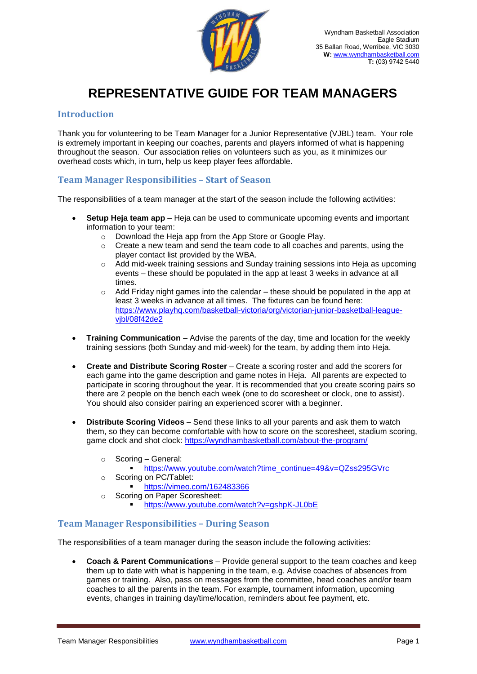

# **REPRESENTATIVE GUIDE FOR TEAM MANAGERS**

### **Introduction**

Thank you for volunteering to be Team Manager for a Junior Representative (VJBL) team. Your role is extremely important in keeping our coaches, parents and players informed of what is happening throughout the season. Our association relies on volunteers such as you, as it minimizes our overhead costs which, in turn, help us keep player fees affordable.

#### **Team Manager Responsibilities – Start of Season**

The responsibilities of a team manager at the start of the season include the following activities:

- **Setup Heja team app** Heja can be used to communicate upcoming events and important information to your team:
	- o Download the Heja app from the App Store or Google Play.
	- $\circ$  Create a new team and send the team code to all coaches and parents, using the player contact list provided by the WBA.
	- $\circ$  Add mid-week training sessions and Sunday training sessions into Heja as upcoming events – these should be populated in the app at least 3 weeks in advance at all times.
	- $\circ$  Add Friday night games into the calendar these should be populated in the app at least 3 weeks in advance at all times. The fixtures can be found here: [https://www.playhq.com/basketball-victoria/org/victorian-junior-basketball-league](https://www.playhq.com/basketball-victoria/org/victorian-junior-basketball-league-vjbl/08f42de2)[vjbl/08f42de2](https://www.playhq.com/basketball-victoria/org/victorian-junior-basketball-league-vjbl/08f42de2)
- **Training Communication** Advise the parents of the day, time and location for the weekly training sessions (both Sunday and mid-week) for the team, by adding them into Heja.
- **Create and Distribute Scoring Roster**  Create a scoring roster and add the scorers for each game into the game description and game notes in Heja. All parents are expected to participate in scoring throughout the year. It is recommended that you create scoring pairs so there are 2 people on the bench each week (one to do scoresheet or clock, one to assist). You should also consider pairing an experienced scorer with a beginner.
- **Distribute Scoring Videos** Send these links to all your parents and ask them to watch them, so they can become comfortable with how to score on the scoresheet, stadium scoring, game clock and shot clock: <https://wyndhambasketball.com/about-the-program/>
	- o Scoring General:
		- [https://www.youtube.com/watch?time\\_continue=49&v=QZss295GVrc](https://www.youtube.com/watch?time_continue=49&v=QZss295GVrc)
	- o Scoring on PC/Tablet:
		- <https://vimeo.com/162483366>
	- o Scoring on Paper Scoresheet:
		- <https://www.youtube.com/watch?v=gshpK-JL0bE>

## **Team Manager Responsibilities – During Season**

The responsibilities of a team manager during the season include the following activities:

 **Coach & Parent Communications** – Provide general support to the team coaches and keep them up to date with what is happening in the team, e.g. Advise coaches of absences from games or training. Also, pass on messages from the committee, head coaches and/or team coaches to all the parents in the team. For example, tournament information, upcoming events, changes in training day/time/location, reminders about fee payment, etc.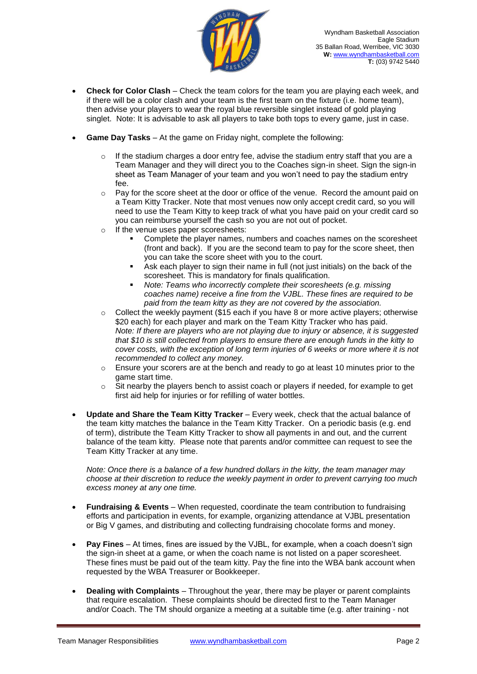

- **Check for Color Clash** Check the team colors for the team you are playing each week, and if there will be a color clash and your team is the first team on the fixture (i.e. home team), then advise your players to wear the royal blue reversible singlet instead of gold playing singlet. Note: It is advisable to ask all players to take both tops to every game, just in case.
- **Game Day Tasks** At the game on Friday night, complete the following:
	- $\circ$  If the stadium charges a door entry fee, advise the stadium entry staff that you are a Team Manager and they will direct you to the Coaches sign-in sheet. Sign the sign-in sheet as Team Manager of your team and you won't need to pay the stadium entry fee.
	- $\circ$  Pay for the score sheet at the door or office of the venue. Record the amount paid on a Team Kitty Tracker. Note that most venues now only accept credit card, so you will need to use the Team Kitty to keep track of what you have paid on your credit card so you can reimburse yourself the cash so you are not out of pocket.
	- o If the venue uses paper scoresheets:
		- Complete the player names, numbers and coaches names on the scoresheet (front and back). If you are the second team to pay for the score sheet, then you can take the score sheet with you to the court.
		- Ask each player to sign their name in full (not just initials) on the back of the scoresheet. This is mandatory for finals qualification.
		- *Note: Teams who incorrectly complete their scoresheets (e.g. missing coaches name) receive a fine from the VJBL. These fines are required to be paid from the team kitty as they are not covered by the association.*
	- $\circ$  Collect the weekly payment (\$15 each if you have 8 or more active players; otherwise \$20 each) for each player and mark on the Team Kitty Tracker who has paid. *Note: If there are players who are not playing due to injury or absence, it is suggested that \$10 is still collected from players to ensure there are enough funds in the kitty to cover costs, with the exception of long term injuries of 6 weeks or more where it is not recommended to collect any money.*
	- o Ensure your scorers are at the bench and ready to go at least 10 minutes prior to the game start time.
	- $\circ$  Sit nearby the players bench to assist coach or players if needed, for example to get first aid help for injuries or for refilling of water bottles.
- **Update and Share the Team Kitty Tracker** Every week, check that the actual balance of the team kitty matches the balance in the Team Kitty Tracker. On a periodic basis (e.g. end of term), distribute the Team Kitty Tracker to show all payments in and out, and the current balance of the team kitty. Please note that parents and/or committee can request to see the Team Kitty Tracker at any time.

*Note: Once there is a balance of a few hundred dollars in the kitty, the team manager may choose at their discretion to reduce the weekly payment in order to prevent carrying too much excess money at any one time.*

- **Fundraising & Events**  When requested, coordinate the team contribution to fundraising efforts and participation in events, for example, organizing attendance at VJBL presentation or Big V games, and distributing and collecting fundraising chocolate forms and money.
- **Pay Fines** At times, fines are issued by the VJBL, for example, when a coach doesn't sign the sign-in sheet at a game, or when the coach name is not listed on a paper scoresheet. These fines must be paid out of the team kitty. Pay the fine into the WBA bank account when requested by the WBA Treasurer or Bookkeeper.
- **Dealing with Complaints** Throughout the year, there may be player or parent complaints that require escalation. These complaints should be directed first to the Team Manager and/or Coach. The TM should organize a meeting at a suitable time (e.g. after training - not